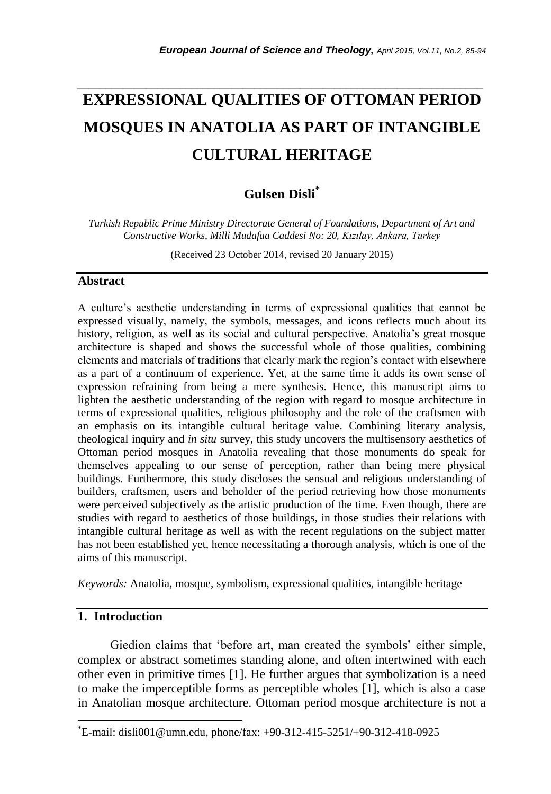# **EXPRESSIONAL QUALITIES OF OTTOMAN PERIOD MOSQUES IN ANATOLIA AS PART OF INTANGIBLE CULTURAL HERITAGE**

*\_\_\_\_\_\_\_\_\_\_\_\_\_\_\_\_\_\_\_\_\_\_\_\_\_\_\_\_\_\_\_\_\_\_\_\_\_\_\_\_\_\_\_\_\_\_\_\_\_\_\_\_\_\_\_\_\_\_\_\_\_\_\_\_\_\_\_\_\_\_\_*

## **Gulsen Disli\***

*Turkish Republic Prime Ministry Directorate General of Foundations, Department of Art and Constructive Works, Milli Mudafaa Caddesi No: 20, Kızılay, Ankara, Turkey*

(Received 23 October 2014, revised 20 January 2015)

### **Abstract**

A culture"s aesthetic understanding in terms of expressional qualities that cannot be expressed visually, namely, the symbols, messages, and icons reflects much about its history, religion, as well as its social and cultural perspective. Anatolia's great mosque architecture is shaped and shows the successful whole of those qualities, combining elements and materials of traditions that clearly mark the region"s contact with elsewhere as a part of a continuum of experience. Yet, at the same time it adds its own sense of expression refraining from being a mere synthesis. Hence, this manuscript aims to lighten the aesthetic understanding of the region with regard to mosque architecture in terms of expressional qualities, religious philosophy and the role of the craftsmen with an emphasis on its intangible cultural heritage value. Combining literary analysis, theological inquiry and *in situ* survey, this study uncovers the multisensory aesthetics of Ottoman period mosques in Anatolia revealing that those monuments do speak for themselves appealing to our sense of perception, rather than being mere physical buildings. Furthermore, this study discloses the sensual and religious understanding of builders, craftsmen, users and beholder of the period retrieving how those monuments were perceived subjectively as the artistic production of the time. Even though, there are studies with regard to aesthetics of those buildings, in those studies their relations with intangible cultural heritage as well as with the recent regulations on the subject matter has not been established yet, hence necessitating a thorough analysis, which is one of the aims of this manuscript.

*Keywords:* Anatolia, mosque, symbolism, expressional qualities, intangible heritage

## **1. Introduction**

l

Giedion claims that 'before art, man created the symbols' either simple, complex or abstract sometimes standing alone, and often intertwined with each other even in primitive times [1]. He further argues that symbolization is a need to make the imperceptible forms as perceptible wholes [1], which is also a case in Anatolian mosque architecture. Ottoman period mosque architecture is not a

<sup>\*</sup>E-mail: [disli001@umn.edu,](mailto:disli001@umn.edu) phone/fax: +90-312-415-5251/+90-312-418-0925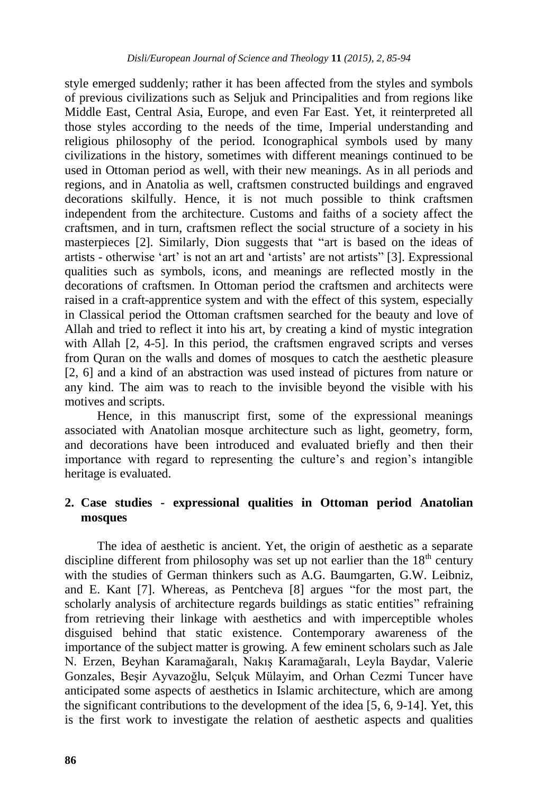style emerged suddenly; rather it has been affected from the styles and symbols of previous civilizations such as Seljuk and Principalities and from regions like Middle East, Central Asia, Europe, and even Far East. Yet, it reinterpreted all those styles according to the needs of the time, Imperial understanding and religious philosophy of the period. Iconographical symbols used by many civilizations in the history, sometimes with different meanings continued to be used in Ottoman period as well, with their new meanings. As in all periods and regions, and in Anatolia as well, craftsmen constructed buildings and engraved decorations skilfully. Hence, it is not much possible to think craftsmen independent from the architecture. Customs and faiths of a society affect the craftsmen, and in turn, craftsmen reflect the social structure of a society in his masterpieces [2]. Similarly, Dion suggests that "art is based on the ideas of artists - otherwise "art" is not an art and "artists" are not artists" [3]. Expressional qualities such as symbols, icons, and meanings are reflected mostly in the decorations of craftsmen. In Ottoman period the craftsmen and architects were raised in a craft-apprentice system and with the effect of this system, especially in Classical period the Ottoman craftsmen searched for the beauty and love of Allah and tried to reflect it into his art, by creating a kind of mystic integration with Allah [2, 4-5]. In this period, the craftsmen engraved scripts and verses from Quran on the walls and domes of mosques to catch the aesthetic pleasure [2, 6] and a kind of an abstraction was used instead of pictures from nature or any kind. The aim was to reach to the invisible beyond the visible with his motives and scripts.

Hence, in this manuscript first, some of the expressional meanings associated with Anatolian mosque architecture such as light, geometry, form, and decorations have been introduced and evaluated briefly and then their importance with regard to representing the culture"s and region"s intangible heritage is evaluated.

## **2. Case studies - expressional qualities in Ottoman period Anatolian mosques**

The idea of aesthetic is ancient. Yet, the origin of aesthetic as a separate discipline different from philosophy was set up not earlier than the  $18<sup>th</sup>$  century with the studies of German thinkers such as A.G. Baumgarten, G.W. Leibniz, and E. Kant [7]. Whereas, as Pentcheva [8] argues "for the most part, the scholarly analysis of architecture regards buildings as static entities" refraining from retrieving their linkage with aesthetics and with imperceptible wholes disguised behind that static existence. Contemporary awareness of the importance of the subject matter is growing. A few eminent scholars such as Jale N. Erzen, Beyhan Karamağaralı, Nakış Karamağaralı, Leyla Baydar, Valerie Gonzales, Beşir Ayvazoğlu, Selçuk Mülayim, and Orhan Cezmi Tuncer have anticipated some aspects of aesthetics in Islamic architecture, which are among the significant contributions to the development of the idea [5, 6, 9-14]. Yet, this is the first work to investigate the relation of aesthetic aspects and qualities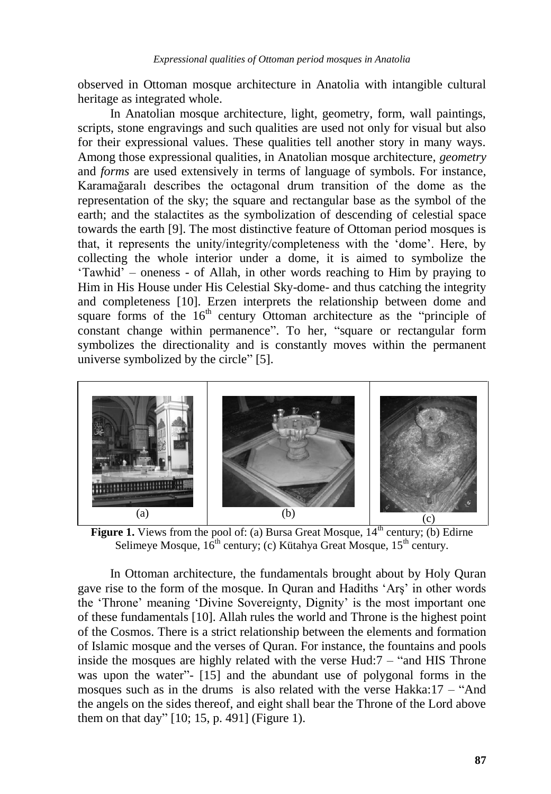observed in Ottoman mosque architecture in Anatolia with intangible cultural heritage as integrated whole.

In Anatolian mosque architecture, light, geometry, form, wall paintings, scripts, stone engravings and such qualities are used not only for visual but also for their expressional values. These qualities tell another story in many ways. Among those expressional qualities, in Anatolian mosque architecture, *geometry* and *forms* are used extensively in terms of language of symbols. For instance, Karamağaralı describes the octagonal drum transition of the dome as the representation of the sky; the square and rectangular base as the symbol of the earth; and the stalactites as the symbolization of descending of celestial space towards the earth [9]. The most distinctive feature of Ottoman period mosques is that, it represents the unity/integrity/completeness with the "dome". Here, by collecting the whole interior under a dome, it is aimed to symbolize the "Tawhid" – oneness - of Allah, in other words reaching to Him by praying to Him in His House under His Celestial Sky-dome- and thus catching the integrity and completeness [10]. Erzen interprets the relationship between dome and square forms of the  $16<sup>th</sup>$  century Ottoman architecture as the "principle of constant change within permanence". To her, "square or rectangular form symbolizes the directionality and is constantly moves within the permanent universe symbolized by the circle" [5].



**Figure 1.** Views from the pool of: (a) Bursa Great Mosque, 14<sup>th</sup> century; (b) Edirne Selimeye Mosque,  $16^{th}$  century; (c) Kütahya Great Mosque,  $15^{th}$  century.

In Ottoman architecture, the fundamentals brought about by Holy Quran gave rise to the form of the mosque. In Quran and Hadiths "Arş" in other words the "Throne" meaning "Divine Sovereignty, Dignity" is the most important one of these fundamentals [10]. Allah rules the world and Throne is the highest point of the Cosmos. There is a strict relationship between the elements and formation of Islamic mosque and the verses of Quran. For instance, the fountains and pools inside the mosques are highly related with the verse Hud:7 – "and HIS Throne was upon the water"- [15] and the abundant use of polygonal forms in the mosques such as in the drums is also related with the verse Hakka:17 – "And the angels on the sides thereof, and eight shall bear the Throne of the Lord above them on that day" [10; 15, p. 491] (Figure 1).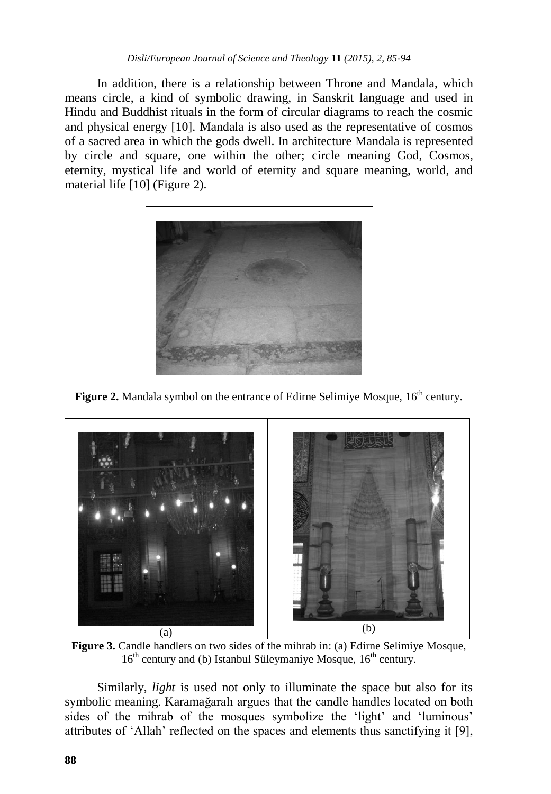In addition, there is a relationship between Throne and Mandala, which means circle, a kind of symbolic drawing, in Sanskrit language and used in Hindu and Buddhist rituals in the form of circular diagrams to reach the cosmic and physical energy [10]. Mandala is also used as the representative of cosmos of a sacred area in which the gods dwell. In architecture Mandala is represented by circle and square, one within the other; circle meaning God, Cosmos, eternity, mystical life and world of eternity and square meaning, world, and material life [10] (Figure 2).



**Figure 2.** Mandala symbol on the entrance of Edirne Selimiye Mosque,  $16<sup>th</sup>$  century.



**Figure 3.** Candle handlers on two sides of the mihrab in: (a) Edirne Selimiye Mosque,  $16<sup>th</sup>$  century and (b) Istanbul Süleymaniye Mosque,  $16<sup>th</sup>$  century.

Similarly, *light* is used not only to illuminate the space but also for its symbolic meaning. Karamağaralı argues that the candle handles located on both sides of the mihrab of the mosques symbolize the 'light' and 'luminous' attributes of "Allah" reflected on the spaces and elements thus sanctifying it [9],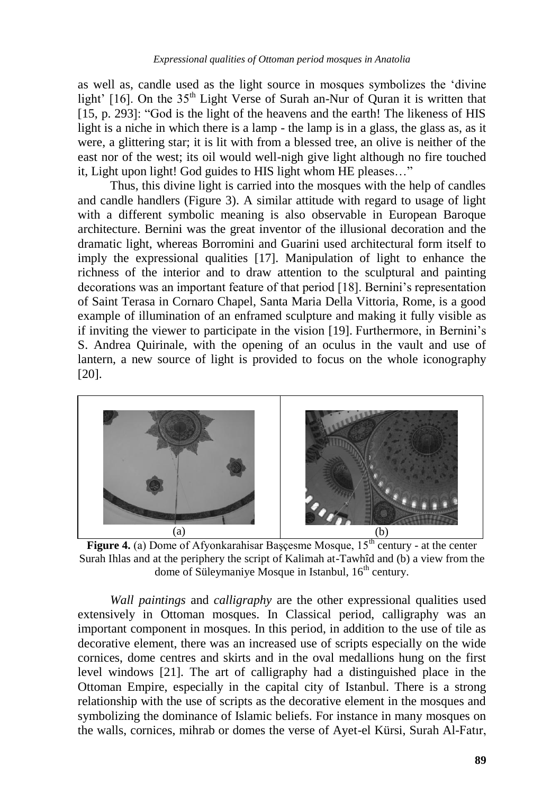as well as, candle used as the light source in mosques symbolizes the "divine light' [16]. On the  $35<sup>th</sup>$  Light Verse of Surah an-Nur of Quran it is written that [15, p. 293]: "God is the light of the heavens and the earth! The likeness of HIS light is a niche in which there is a lamp - the lamp is in a glass, the glass as, as it were, a glittering star; it is lit with from a blessed tree, an olive is neither of the east nor of the west; its oil would well-nigh give light although no fire touched it, Light upon light! God guides to HIS light whom HE pleases…"

Thus, this divine light is carried into the mosques with the help of candles and candle handlers (Figure 3). A similar attitude with regard to usage of light with a different symbolic meaning is also observable in European Baroque architecture. Bernini was the great inventor of the illusional decoration and the dramatic light, whereas Borromini and Guarini used architectural form itself to imply the expressional qualities [17]. Manipulation of light to enhance the richness of the interior and to draw attention to the sculptural and painting decorations was an important feature of that period [18]. Bernini"s representation of Saint Terasa in Cornaro Chapel, Santa Maria Della Vittoria, Rome, is a good example of illumination of an enframed sculpture and making it fully visible as if inviting the viewer to participate in the vision [19]. Furthermore, in Bernini"s S. Andrea Quirinale, with the opening of an oculus in the vault and use of lantern, a new source of light is provided to focus on the whole iconography [20].



**Figure 4.** (a) Dome of Afyonkarahisar Başçesme Mosque, 15<sup>th</sup> century - at the center Surah Ihlas and at the periphery the script of Kalimah at-Tawhîd and (b) a view from the dome of Süleymaniye Mosque in Istanbul,  $16<sup>th</sup>$  century.

*Wall paintings* and *calligraphy* are the other expressional qualities used extensively in Ottoman mosques. In Classical period, calligraphy was an important component in mosques. In this period, in addition to the use of tile as decorative element, there was an increased use of scripts especially on the wide cornices, dome centres and skirts and in the oval medallions hung on the first level windows [21]. The art of calligraphy had a distinguished place in the Ottoman Empire, especially in the capital city of Istanbul. There is a strong relationship with the use of scripts as the decorative element in the mosques and symbolizing the dominance of Islamic beliefs. For instance in many mosques on the walls, cornices, mihrab or domes the verse of Ayet-el Kürsi, Surah Al-Fatır,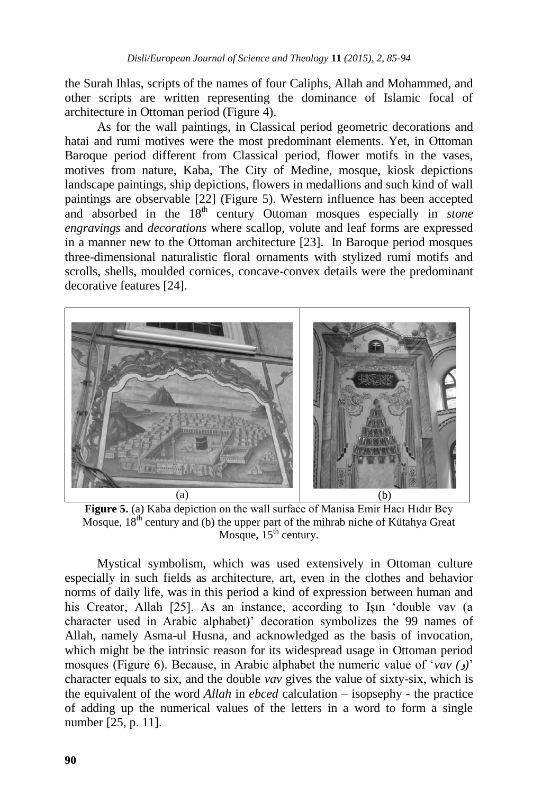the Surah Ihlas, scripts of the names of four Caliphs, Allah and Mohammed, and other scripts are written representing the dominance of Islamic focal of architecture in Ottoman period (Figure 4).

As for the wall paintings, in Classical period geometric decorations and hatai and rumi motives were the most predominant elements. Yet, in Ottoman Baroque period different from Classical period, flower motifs in the vases, motives from nature, Kaba, The City of Medine, mosque, kiosk depictions landscape paintings, ship depictions, flowers in medallions and such kind of wall paintings are observable [22] (Figure 5). Western influence has been accepted and absorbed in the 18<sup>th</sup> century Ottoman mosques especially in *stone engravings* and *decorations* where scallop, volute and leaf forms are expressed in a manner new to the Ottoman architecture [23]. In Baroque period mosques three-dimensional naturalistic floral ornaments with stylized rumi motifs and scrolls, shells, moulded cornices, concave-convex details were the predominant decorative features [24].



**Figure 5.** (a) Kaba depiction on the wall surface of Manisa Emir Hacı Hıdır Bey Mosque,  $18<sup>th</sup>$  century and (b) the upper part of the mihrab niche of Kütahya Great Mosque,  $15<sup>th</sup>$  century.

Mystical symbolism, which was used extensively in Ottoman culture especially in such fields as architecture, art, even in the clothes and behavior norms of daily life, was in this period a kind of expression between human and his Creator, Allah [25]. As an instance, according to Ism 'double vav (a character used in Arabic alphabet)" decoration symbolizes the 99 names of Allah, namely Asma-ul Husna, and acknowledged as the basis of invocation, which might be the intrinsic reason for its widespread usage in Ottoman period mosques (Figure 6). Because, in Arabic alphabet the numeric value of "*vav ( )*" character equals to six, and the double *vav* gives the value of sixty-six, which is the equivalent of the word *Allah* in *ebced* calculation – isopsephy - the practice of adding up the numerical values of the letters in a word to form a single number [25, p. 11].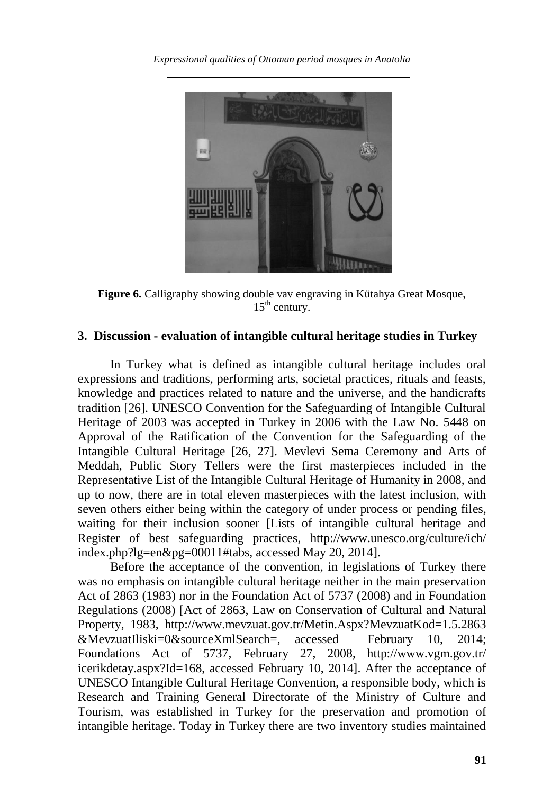*Expressional qualities of Ottoman period mosques in Anatolia* 



**Figure 6.** Calligraphy showing double vav engraving in Kütahya Great Mosque,  $15<sup>th</sup>$  century.

## **3. Discussion - evaluation of intangible cultural heritage studies in Turkey**

In Turkey what is defined as intangible cultural heritage includes oral expressions and traditions, performing arts, societal practices, rituals and feasts, knowledge and practices related to nature and the universe, and the handicrafts tradition [26]. UNESCO Convention for the Safeguarding of Intangible Cultural Heritage of 2003 was accepted in Turkey in 2006 with the Law No. 5448 on Approval of the Ratification of the Convention for the Safeguarding of the Intangible Cultural Heritage [26, 27]. Mevlevi Sema Ceremony and Arts of Meddah, Public Story Tellers were the first masterpieces included in the Representative List of the Intangible Cultural Heritage of Humanity in 2008, and up to now, there are in total eleven masterpieces with the latest inclusion, with seven others either being within the category of under process or pending files, waiting for their inclusion sooner [Lists of intangible cultural heritage and Register of best safeguarding practices, http://www.unesco.org/culture/ich/ index.php?lg=en&pg=00011#tabs, accessed May 20, 2014].

Before the acceptance of the convention, in legislations of Turkey there was no emphasis on intangible cultural heritage neither in the main preservation Act of 2863 (1983) nor in the Foundation Act of 5737 (2008) and in Foundation Regulations (2008) [Act of 2863, Law on Conservation of Cultural and Natural Property, 1983, http://www.mevzuat.gov.tr/Metin.Aspx?MevzuatKod=1.5.2863 &MevzuatIliski=0&sourceXmlSearch=, accessed February 10, 2014; Foundations Act of 5737, February 27, 2008, http://www.vgm.gov.tr/ icerikdetay.aspx?Id=168, accessed February 10, 2014]. After the acceptance of UNESCO Intangible Cultural Heritage Convention, a responsible body, which is Research and Training General Directorate of the Ministry of Culture and Tourism, was established in Turkey for the preservation and promotion of intangible heritage. Today in Turkey there are two inventory studies maintained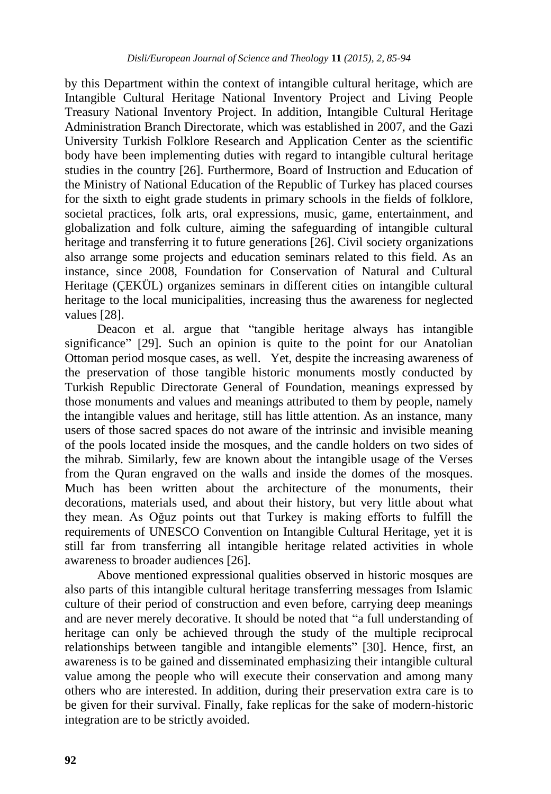by this Department within the context of intangible cultural heritage, which are Intangible Cultural Heritage National Inventory Project and Living People Treasury National Inventory Project. In addition, Intangible Cultural Heritage Administration Branch Directorate, which was established in 2007, and the Gazi University Turkish Folklore Research and Application Center as the scientific body have been implementing duties with regard to intangible cultural heritage studies in the country [26]. Furthermore, Board of Instruction and Education of the Ministry of National Education of the Republic of Turkey has placed courses for the sixth to eight grade students in primary schools in the fields of folklore, societal practices, folk arts, oral expressions, music, game, entertainment, and globalization and folk culture, aiming the safeguarding of intangible cultural heritage and transferring it to future generations [26]. Civil society organizations also arrange some projects and education seminars related to this field. As an instance, since 2008, Foundation for Conservation of Natural and Cultural Heritage (ÇEKÜL) organizes seminars in different cities on intangible cultural heritage to the local municipalities, increasing thus the awareness for neglected values [28].

Deacon et al. argue that "tangible heritage always has intangible significance" [29]. Such an opinion is quite to the point for our Anatolian Ottoman period mosque cases, as well. Yet, despite the increasing awareness of the preservation of those tangible historic monuments mostly conducted by Turkish Republic Directorate General of Foundation, meanings expressed by those monuments and values and meanings attributed to them by people, namely the intangible values and heritage, still has little attention. As an instance, many users of those sacred spaces do not aware of the intrinsic and invisible meaning of the pools located inside the mosques, and the candle holders on two sides of the mihrab. Similarly, few are known about the intangible usage of the Verses from the Quran engraved on the walls and inside the domes of the mosques. Much has been written about the architecture of the monuments, their decorations, materials used, and about their history, but very little about what they mean. As Oğuz points out that Turkey is making efforts to fulfill the requirements of UNESCO Convention on Intangible Cultural Heritage, yet it is still far from transferring all intangible heritage related activities in whole awareness to broader audiences [26].

Above mentioned expressional qualities observed in historic mosques are also parts of this intangible cultural heritage transferring messages from Islamic culture of their period of construction and even before, carrying deep meanings and are never merely decorative. It should be noted that "a full understanding of heritage can only be achieved through the study of the multiple reciprocal relationships between tangible and intangible elements" [30]. Hence, first, an awareness is to be gained and disseminated emphasizing their intangible cultural value among the people who will execute their conservation and among many others who are interested. In addition, during their preservation extra care is to be given for their survival. Finally, fake replicas for the sake of modern-historic integration are to be strictly avoided.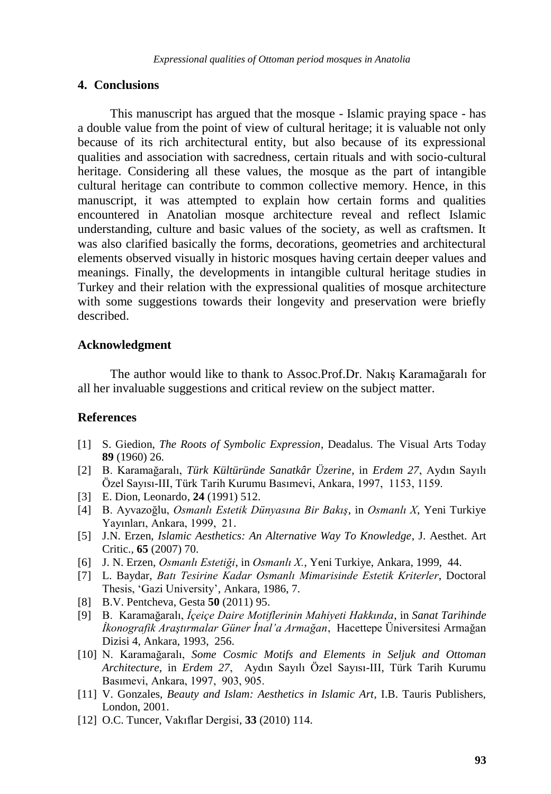### **4. Conclusions**

This manuscript has argued that the mosque - Islamic praying space - has a double value from the point of view of cultural heritage; it is valuable not only because of its rich architectural entity, but also because of its expressional qualities and association with sacredness, certain rituals and with socio-cultural heritage. Considering all these values, the mosque as the part of intangible cultural heritage can contribute to common collective memory. Hence, in this manuscript, it was attempted to explain how certain forms and qualities encountered in Anatolian mosque architecture reveal and reflect Islamic understanding, culture and basic values of the society, as well as craftsmen. It was also clarified basically the forms, decorations, geometries and architectural elements observed visually in historic mosques having certain deeper values and meanings. Finally, the developments in intangible cultural heritage studies in Turkey and their relation with the expressional qualities of mosque architecture with some suggestions towards their longevity and preservation were briefly described.

## **Acknowledgment**

The author would like to thank to Assoc.Prof.Dr. Nakış Karamağaralı for all her invaluable suggestions and critical review on the subject matter.

## **References**

- [1] S. Giedion, *The Roots of Symbolic Expression*, Deadalus. The Visual Arts Today **89** (1960) 26.
- [2] B. Karamağaralı, *Türk Kültüründe Sanatkâr Üzerine*, in *Erdem 27*, Aydın Sayılı Özel Sayısı-III, Türk Tarih Kurumu Basımevi, Ankara, 1997, 1153, 1159.
- [3] E. Dion, Leonardo, **24** (1991) 512.
- [4] B. Ayvazoğlu, *Osmanlı Estetik Dünyasına Bir Bakış*, in *Osmanlı X*, Yeni Turkiye Yayınları, Ankara, 1999, 21.
- [5] J.N. Erzen, *Islamic Aesthetics: An Alternative Way To Knowledge*, J. Aesthet. Art Critic., **65** (2007) 70.
- [6] J. N. Erzen, *Osmanlı Estetiği*, in *Osmanlı X.*, Yeni Turkiye, Ankara, 1999, 44.
- [7] L. Baydar, *Batı Tesirine Kadar Osmanlı Mimarisinde Estetik Kriterler*, Doctoral Thesis, "Gazi University", Ankara, 1986, 7.
- [8] B.V. Pentcheva, Gesta **50** (2011) 95.
- [9] B. Karamağaralı, *İçeiçe Daire Motiflerinin Mahiyeti Hakkında*, in *Sanat Tarihinde İkonografik Araştırmalar Güner İnal'a Armağan*, Hacettepe Üniversitesi Armağan Dizisi 4, Ankara, 1993, 256.
- [10] N. Karamağaralı, *Some Cosmic Motifs and Elements in Seljuk and Ottoman Architecture*, in *Erdem 27*, Aydın Sayılı Özel Sayısı-III, Türk Tarih Kurumu Basımevi, Ankara, 1997, 903, 905.
- [11] V. Gonzales, *Beauty and Islam: Aesthetics in Islamic Art*, I.B. Tauris Publishers, London, 2001.
- [12] O.C. Tuncer, Vakıflar Dergisi, **33** (2010) 114.